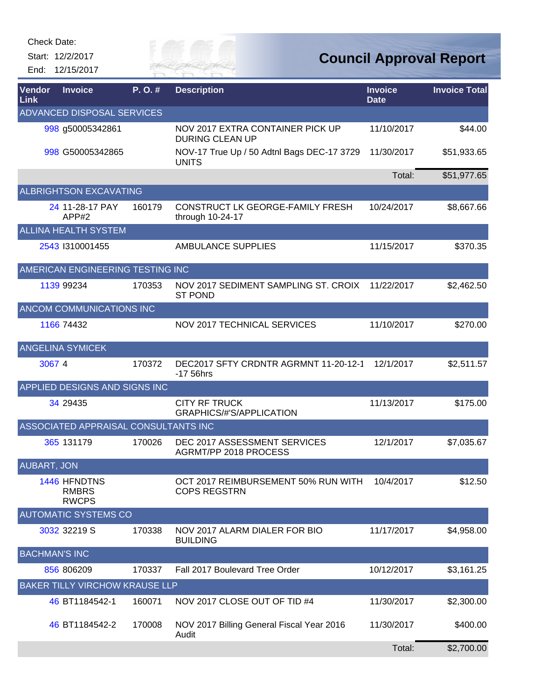Start: 12/2/2017 End: 12/15/2017



| Vendor<br>Link                    | <b>Invoice</b>                               | $P. O.$ # | <b>Description</b>                                         | <b>Invoice</b><br><b>Date</b> | <b>Invoice Total</b> |  |  |  |
|-----------------------------------|----------------------------------------------|-----------|------------------------------------------------------------|-------------------------------|----------------------|--|--|--|
| <b>ADVANCED DISPOSAL SERVICES</b> |                                              |           |                                                            |                               |                      |  |  |  |
|                                   | 998 g50005342861                             |           | NOV 2017 EXTRA CONTAINER PICK UP<br><b>DURING CLEAN UP</b> | 11/10/2017                    | \$44.00              |  |  |  |
|                                   | 998 G50005342865                             |           | NOV-17 True Up / 50 Adtnl Bags DEC-17 3729<br><b>UNITS</b> | 11/30/2017                    | \$51,933.65          |  |  |  |
|                                   |                                              |           |                                                            | Total:                        | \$51,977.65          |  |  |  |
|                                   | <b>ALBRIGHTSON EXCAVATING</b>                |           |                                                            |                               |                      |  |  |  |
|                                   | 24 11-28-17 PAY<br>APP#2                     | 160179    | CONSTRUCT LK GEORGE-FAMILY FRESH<br>through 10-24-17       | 10/24/2017                    | \$8,667.66           |  |  |  |
|                                   | <b>ALLINA HEALTH SYSTEM</b>                  |           |                                                            |                               |                      |  |  |  |
|                                   | 2543 1310001455                              |           | AMBULANCE SUPPLIES                                         | 11/15/2017                    | \$370.35             |  |  |  |
|                                   | AMERICAN ENGINEERING TESTING INC             |           |                                                            |                               |                      |  |  |  |
|                                   | 1139 99234                                   | 170353    | NOV 2017 SEDIMENT SAMPLING ST. CROIX<br><b>ST POND</b>     | 11/22/2017                    | \$2,462.50           |  |  |  |
|                                   | ANCOM COMMUNICATIONS INC                     |           |                                                            |                               |                      |  |  |  |
|                                   | 1166 74432                                   |           | NOV 2017 TECHNICAL SERVICES                                | 11/10/2017                    | \$270.00             |  |  |  |
|                                   | <b>ANGELINA SYMICEK</b>                      |           |                                                            |                               |                      |  |  |  |
| 30674                             |                                              | 170372    | DEC2017 SFTY CRDNTR AGRMNT 11-20-12-1<br>-17 56hrs         | 12/1/2017                     | \$2,511.57           |  |  |  |
|                                   | APPLIED DESIGNS AND SIGNS INC                |           |                                                            |                               |                      |  |  |  |
|                                   | 34 29435                                     |           | <b>CITY RF TRUCK</b><br><b>GRAPHICS/#'S/APPLICATION</b>    | 11/13/2017                    | \$175.00             |  |  |  |
|                                   | ASSOCIATED APPRAISAL CONSULTANTS INC         |           |                                                            |                               |                      |  |  |  |
|                                   | 365 131179                                   | 170026    | DEC 2017 ASSESSMENT SERVICES<br>AGRMT/PP 2018 PROCESS      | 12/1/2017                     | \$7,035.67           |  |  |  |
| <b>AUBART, JON</b>                |                                              |           |                                                            |                               |                      |  |  |  |
|                                   | 1446 HFNDTNS<br><b>RMBRS</b><br><b>RWCPS</b> |           | OCT 2017 REIMBURSEMENT 50% RUN WITH<br><b>COPS REGSTRN</b> | 10/4/2017                     | \$12.50              |  |  |  |
|                                   | <b>AUTOMATIC SYSTEMS CO</b>                  |           |                                                            |                               |                      |  |  |  |
|                                   | 3032 32219 S                                 | 170338    | NOV 2017 ALARM DIALER FOR BIO<br><b>BUILDING</b>           | 11/17/2017                    | \$4,958.00           |  |  |  |
| <b>BACHMAN'S INC</b>              |                                              |           |                                                            |                               |                      |  |  |  |
|                                   | 856 806209                                   | 170337    | Fall 2017 Boulevard Tree Order                             | 10/12/2017                    | \$3,161.25           |  |  |  |
|                                   | <b>BAKER TILLY VIRCHOW KRAUSE LLP</b>        |           |                                                            |                               |                      |  |  |  |
|                                   | 46 BT1184542-1                               | 160071    | NOV 2017 CLOSE OUT OF TID #4                               | 11/30/2017                    | \$2,300.00           |  |  |  |
|                                   | 46 BT1184542-2                               | 170008    | NOV 2017 Billing General Fiscal Year 2016<br>Audit         | 11/30/2017                    | \$400.00             |  |  |  |
|                                   |                                              |           |                                                            | Total:                        | \$2,700.00           |  |  |  |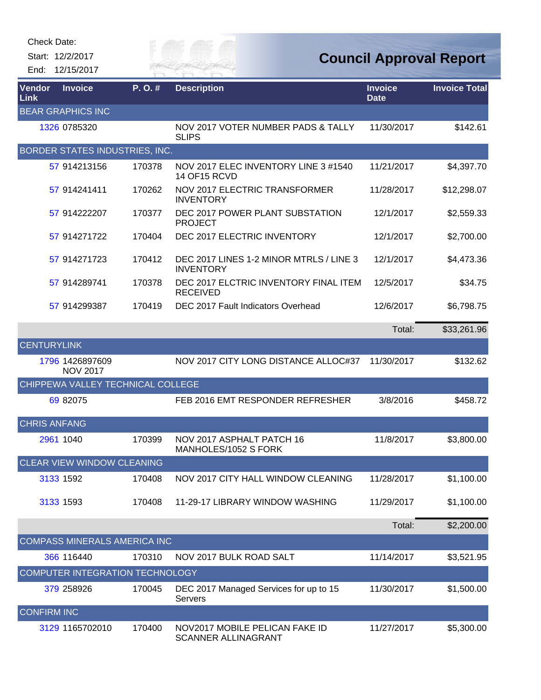| Check Date: |
|-------------|
|-------------|

Start: 12/2/2017 End: 12/15/2017



| Vendor<br>Link      | <b>Invoice</b>                      | P.O.#  | <b>Description</b>                                           | <b>Invoice</b><br><b>Date</b> | <b>Invoice Total</b> |
|---------------------|-------------------------------------|--------|--------------------------------------------------------------|-------------------------------|----------------------|
|                     | <b>BEAR GRAPHICS INC</b>            |        |                                                              |                               |                      |
|                     | 1326 0785320                        |        | NOV 2017 VOTER NUMBER PADS & TALLY<br><b>SLIPS</b>           | 11/30/2017                    | \$142.61             |
|                     | BORDER STATES INDUSTRIES, INC.      |        |                                                              |                               |                      |
|                     | 57 914213156                        | 170378 | NOV 2017 ELEC INVENTORY LINE 3 #1540<br><b>14 OF15 RCVD</b>  | 11/21/2017                    | \$4,397.70           |
|                     | 57 914241411                        | 170262 | NOV 2017 ELECTRIC TRANSFORMER<br><b>INVENTORY</b>            | 11/28/2017                    | \$12,298.07          |
|                     | 57 914222207                        | 170377 | DEC 2017 POWER PLANT SUBSTATION<br><b>PROJECT</b>            | 12/1/2017                     | \$2,559.33           |
|                     | 57 914271722                        | 170404 | DEC 2017 ELECTRIC INVENTORY                                  | 12/1/2017                     | \$2,700.00           |
|                     | 57 914271723                        | 170412 | DEC 2017 LINES 1-2 MINOR MTRLS / LINE 3<br><b>INVENTORY</b>  | 12/1/2017                     | \$4,473.36           |
|                     | 57 914289741                        | 170378 | DEC 2017 ELCTRIC INVENTORY FINAL ITEM<br><b>RECEIVED</b>     | 12/5/2017                     | \$34.75              |
|                     | 57 914299387                        | 170419 | DEC 2017 Fault Indicators Overhead                           | 12/6/2017                     | \$6,798.75           |
|                     |                                     |        |                                                              | Total:                        | \$33,261.96          |
| <b>CENTURYLINK</b>  |                                     |        |                                                              |                               |                      |
|                     | 1796 1426897609<br><b>NOV 2017</b>  |        | NOV 2017 CITY LONG DISTANCE ALLOC#37                         | 11/30/2017                    | \$132.62             |
|                     | CHIPPEWA VALLEY TECHNICAL COLLEGE   |        |                                                              |                               |                      |
|                     | 69 82075                            |        | FEB 2016 EMT RESPONDER REFRESHER                             | 3/8/2016                      | \$458.72             |
| <b>CHRIS ANFANG</b> |                                     |        |                                                              |                               |                      |
|                     | 2961 1040                           | 170399 | NOV 2017 ASPHALT PATCH 16<br>MANHOLES/1052 S FORK            | 11/8/2017                     | \$3,800.00           |
|                     | <b>CLEAR VIEW WINDOW CLEANING</b>   |        |                                                              |                               |                      |
|                     | 3133 1592                           | 170408 | NOV 2017 CITY HALL WINDOW CLEANING                           | 11/28/2017                    | \$1,100.00           |
|                     | 3133 1593                           | 170408 | 11-29-17 LIBRARY WINDOW WASHING                              | 11/29/2017                    | \$1,100.00           |
|                     |                                     |        |                                                              | Total:                        | \$2,200.00           |
|                     | <b>COMPASS MINERALS AMERICA INC</b> |        |                                                              |                               |                      |
|                     | 366 116440                          | 170310 | NOV 2017 BULK ROAD SALT                                      | 11/14/2017                    | \$3,521.95           |
|                     | COMPUTER INTEGRATION TECHNOLOGY     |        |                                                              |                               |                      |
|                     | 379 258926                          | 170045 | DEC 2017 Managed Services for up to 15<br>Servers            | 11/30/2017                    | \$1,500.00           |
| <b>CONFIRM INC</b>  |                                     |        |                                                              |                               |                      |
|                     | 3129 1165702010                     | 170400 | NOV2017 MOBILE PELICAN FAKE ID<br><b>SCANNER ALLINAGRANT</b> | 11/27/2017                    | \$5,300.00           |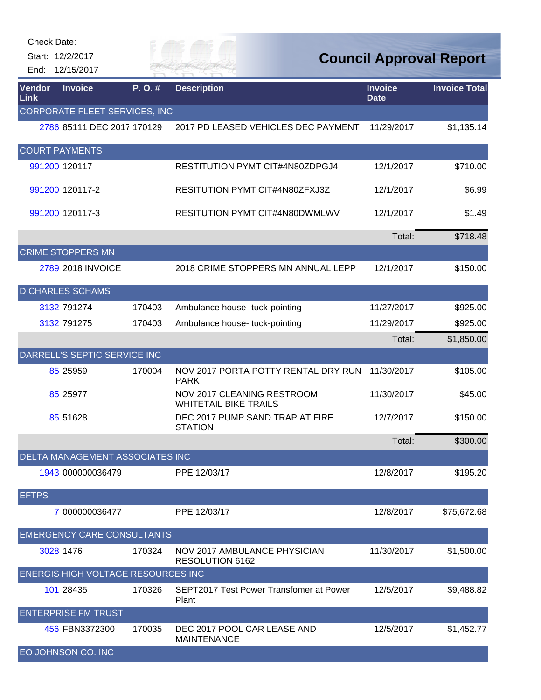| End:           | Check Date:<br>Start: 12/2/2017<br>12/15/2017 |        |                                                                   |                               | <b>Council Approval Report</b> |
|----------------|-----------------------------------------------|--------|-------------------------------------------------------------------|-------------------------------|--------------------------------|
| Vendor<br>Link | <b>Invoice</b>                                | P.O.#  | <b>Description</b>                                                | <b>Invoice</b><br><b>Date</b> | <b>Invoice Total</b>           |
|                | CORPORATE FLEET SERVICES, INC                 |        |                                                                   |                               |                                |
|                | 2786 85111 DEC 2017 170129                    |        | 2017 PD LEASED VEHICLES DEC PAYMENT                               | 11/29/2017                    | \$1,135.14                     |
|                | <b>COURT PAYMENTS</b>                         |        |                                                                   |                               |                                |
|                | 991200 120117                                 |        | RESTITUTION PYMT CIT#4N80ZDPGJ4                                   | 12/1/2017                     | \$710.00                       |
|                | 991200 120117-2                               |        | RESITUTION PYMT CIT#4N80ZFXJ3Z                                    | 12/1/2017                     | \$6.99                         |
|                | 991200 120117-3                               |        | RESITUTION PYMT CIT#4N80DWMLWV                                    | 12/1/2017                     | \$1.49                         |
|                |                                               |        |                                                                   | Total:                        | \$718.48                       |
|                | <b>CRIME STOPPERS MN</b>                      |        |                                                                   |                               |                                |
|                | 2789 2018 INVOICE                             |        | 2018 CRIME STOPPERS MN ANNUAL LEPP                                | 12/1/2017                     | \$150.00                       |
|                | <b>D CHARLES SCHAMS</b>                       |        |                                                                   |                               |                                |
|                | 3132 791274                                   | 170403 | Ambulance house- tuck-pointing                                    | 11/27/2017                    | \$925.00                       |
|                | 3132 791275                                   | 170403 | Ambulance house- tuck-pointing                                    | 11/29/2017                    | \$925.00                       |
|                |                                               |        |                                                                   | Total:                        | \$1,850.00                     |
|                | DARRELL'S SEPTIC SERVICE INC                  |        |                                                                   |                               |                                |
|                | 85 25959                                      | 170004 | NOV 2017 PORTA POTTY RENTAL DRY RUN<br><b>PARK</b>                | 11/30/2017                    | \$105.00                       |
|                | 85 25977                                      |        | <b>NOV 2017 CLEANING RESTROOM</b><br><b>WHITETAIL BIKE TRAILS</b> | 11/30/2017                    | \$45.00                        |
|                | 85 51628                                      |        | DEC 2017 PUMP SAND TRAP AT FIRE<br><b>STATION</b>                 | 12/7/2017                     | \$150.00                       |
|                |                                               |        |                                                                   | Total:                        | \$300.00                       |
|                | DELTA MANAGEMENT ASSOCIATES INC               |        |                                                                   |                               |                                |
|                | 1943 000000036479                             |        | PPE 12/03/17                                                      | 12/8/2017                     | \$195.20                       |
| <b>EFTPS</b>   |                                               |        |                                                                   |                               |                                |
|                | 7 000000036477                                |        | PPE 12/03/17                                                      | 12/8/2017                     | \$75,672.68                    |
|                | <b>EMERGENCY CARE CONSULTANTS</b>             |        |                                                                   |                               |                                |
|                | 3028 1476                                     | 170324 | NOV 2017 AMBULANCE PHYSICIAN<br>RESOLUTION 6162                   | 11/30/2017                    | \$1,500.00                     |
|                | <b>ENERGIS HIGH VOLTAGE RESOURCES INC</b>     |        |                                                                   |                               |                                |
|                | 101 28435                                     | 170326 | SEPT2017 Test Power Transfomer at Power<br>Plant                  | 12/5/2017                     | \$9,488.82                     |
|                | <b>ENTERPRISE FM TRUST</b>                    |        |                                                                   |                               |                                |
|                | 456 FBN3372300                                | 170035 | DEC 2017 POOL CAR LEASE AND<br><b>MAINTENANCE</b>                 | 12/5/2017                     | \$1,452.77                     |
|                | EO JOHNSON CO. INC                            |        |                                                                   |                               |                                |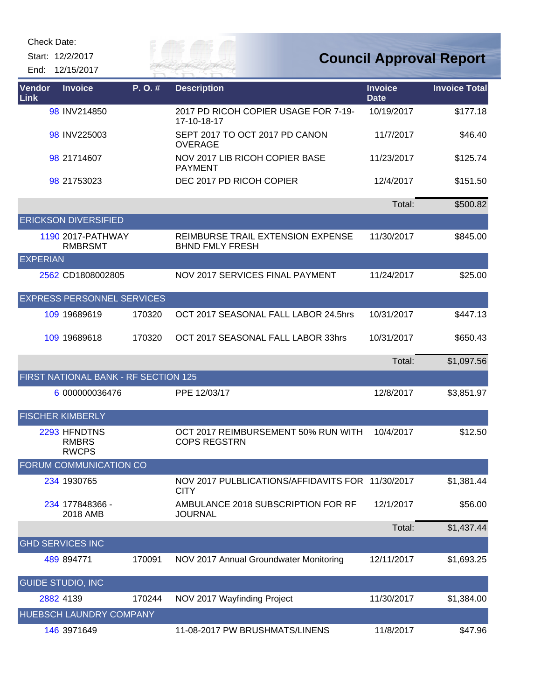Start: 12/2/2017 End: 12/15/2017 *Cuy of* 

| Vendor<br>Link  | <b>Invoice</b>                               | P. O. # | <b>Description</b>                                              | <b>Invoice</b><br><b>Date</b> | <b>Invoice Total</b> |
|-----------------|----------------------------------------------|---------|-----------------------------------------------------------------|-------------------------------|----------------------|
|                 | 98 INV214850                                 |         | 2017 PD RICOH COPIER USAGE FOR 7-19-<br>17-10-18-17             | 10/19/2017                    | \$177.18             |
|                 | 98 INV225003                                 |         | SEPT 2017 TO OCT 2017 PD CANON<br><b>OVERAGE</b>                | 11/7/2017                     | \$46.40              |
|                 | 98 21714607                                  |         | NOV 2017 LIB RICOH COPIER BASE<br><b>PAYMENT</b>                | 11/23/2017                    | \$125.74             |
|                 | 98 21753023                                  |         | DEC 2017 PD RICOH COPIER                                        | 12/4/2017                     | \$151.50             |
|                 |                                              |         |                                                                 | Total:                        | \$500.82             |
|                 | <b>ERICKSON DIVERSIFIED</b>                  |         |                                                                 |                               |                      |
|                 | 1190 2017-PATHWAY<br><b>RMBRSMT</b>          |         | REIMBURSE TRAIL EXTENSION EXPENSE<br><b>BHND FMLY FRESH</b>     | 11/30/2017                    | \$845.00             |
| <b>EXPERIAN</b> |                                              |         |                                                                 |                               |                      |
|                 | 2562 CD1808002805                            |         | NOV 2017 SERVICES FINAL PAYMENT                                 | 11/24/2017                    | \$25.00              |
|                 | <b>EXPRESS PERSONNEL SERVICES</b>            |         |                                                                 |                               |                      |
|                 | 109 19689619                                 | 170320  | OCT 2017 SEASONAL FALL LABOR 24.5hrs                            | 10/31/2017                    | \$447.13             |
|                 | 109 19689618                                 | 170320  | OCT 2017 SEASONAL FALL LABOR 33hrs                              | 10/31/2017                    | \$650.43             |
|                 |                                              |         |                                                                 | Total:                        | \$1,097.56           |
|                 | FIRST NATIONAL BANK - RF SECTION 125         |         |                                                                 |                               |                      |
|                 | 6 000000036476                               |         | PPE 12/03/17                                                    | 12/8/2017                     | \$3,851.97           |
|                 | <b>FISCHER KIMBERLY</b>                      |         |                                                                 |                               |                      |
|                 | 2293 HFNDTNS<br><b>RMBRS</b><br><b>RWCPS</b> |         | OCT 2017 REIMBURSEMENT 50% RUN WITH<br><b>COPS REGSTRN</b>      | 10/4/2017                     | \$12.50              |
|                 | FORUM COMMUNICATION CO                       |         |                                                                 |                               |                      |
|                 | 234 1930765                                  |         | NOV 2017 PULBLICATIONS/AFFIDAVITS FOR 11/30/2017<br><b>CITY</b> |                               | \$1,381.44           |
|                 | 234 177848366 -<br>2018 AMB                  |         | AMBULANCE 2018 SUBSCRIPTION FOR RF<br><b>JOURNAL</b>            | 12/1/2017                     | \$56.00              |
|                 |                                              |         |                                                                 | Total:                        | \$1,437.44           |
|                 | <b>GHD SERVICES INC</b>                      |         |                                                                 |                               |                      |
|                 | 489 894771                                   | 170091  | NOV 2017 Annual Groundwater Monitoring                          | 12/11/2017                    | \$1,693.25           |
|                 | <b>GUIDE STUDIO, INC</b>                     |         |                                                                 |                               |                      |
|                 | 2882 4139                                    | 170244  | NOV 2017 Wayfinding Project                                     | 11/30/2017                    | \$1,384.00           |
|                 | HUEBSCH LAUNDRY COMPANY                      |         |                                                                 |                               |                      |
|                 | 146 3971649                                  |         | 11-08-2017 PW BRUSHMATS/LINENS                                  | 11/8/2017                     | \$47.96              |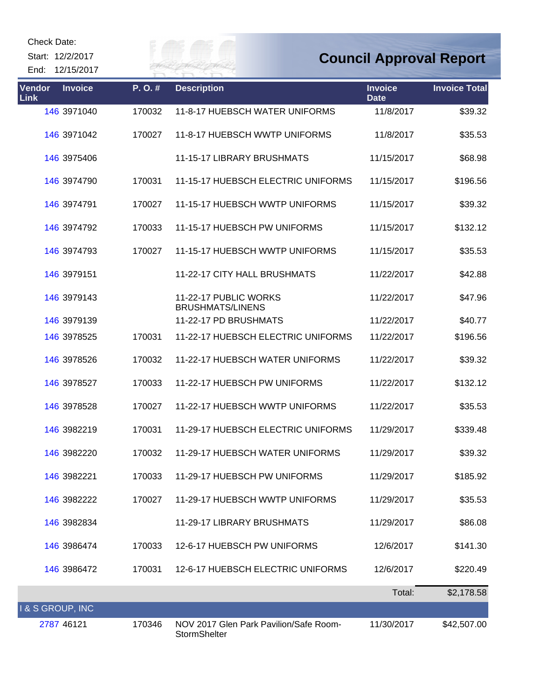| <b>Check Date:</b> |  |
|--------------------|--|
|--------------------|--|

Start: 12/2/2017

End: 12/15/2017

*Cuy of* 

| Vendor<br>Link | <b>Invoice</b> | P.O.#  | <b>Description</b>                                     | <b>Invoice</b><br><b>Date</b> | <b>Invoice Total</b> |
|----------------|----------------|--------|--------------------------------------------------------|-------------------------------|----------------------|
|                | 146 3971040    | 170032 | 11-8-17 HUEBSCH WATER UNIFORMS                         | 11/8/2017                     | \$39.32              |
|                | 146 3971042    | 170027 | 11-8-17 HUEBSCH WWTP UNIFORMS                          | 11/8/2017                     | \$35.53              |
|                | 146 3975406    |        | 11-15-17 LIBRARY BRUSHMATS                             | 11/15/2017                    | \$68.98              |
|                | 146 3974790    | 170031 | 11-15-17 HUEBSCH ELECTRIC UNIFORMS                     | 11/15/2017                    | \$196.56             |
|                | 146 3974791    | 170027 | 11-15-17 HUEBSCH WWTP UNIFORMS                         | 11/15/2017                    | \$39.32              |
|                | 146 3974792    | 170033 | 11-15-17 HUEBSCH PW UNIFORMS                           | 11/15/2017                    | \$132.12             |
|                | 146 3974793    | 170027 | 11-15-17 HUEBSCH WWTP UNIFORMS                         | 11/15/2017                    | \$35.53              |
|                | 146 3979151    |        | 11-22-17 CITY HALL BRUSHMATS                           | 11/22/2017                    | \$42.88              |
|                | 146 3979143    |        | 11-22-17 PUBLIC WORKS<br><b>BRUSHMATS/LINENS</b>       | 11/22/2017                    | \$47.96              |
|                | 146 3979139    |        | 11-22-17 PD BRUSHMATS                                  | 11/22/2017                    | \$40.77              |
|                | 146 3978525    | 170031 | 11-22-17 HUEBSCH ELECTRIC UNIFORMS                     | 11/22/2017                    | \$196.56             |
|                | 146 3978526    | 170032 | 11-22-17 HUEBSCH WATER UNIFORMS                        | 11/22/2017                    | \$39.32              |
|                | 146 3978527    | 170033 | 11-22-17 HUEBSCH PW UNIFORMS                           | 11/22/2017                    | \$132.12             |
|                | 146 3978528    | 170027 | 11-22-17 HUEBSCH WWTP UNIFORMS                         | 11/22/2017                    | \$35.53              |
|                | 146 3982219    | 170031 | 11-29-17 HUEBSCH ELECTRIC UNIFORMS                     | 11/29/2017                    | \$339.48             |
|                | 146 3982220    | 170032 | 11-29-17 HUEBSCH WATER UNIFORMS                        | 11/29/2017                    | \$39.32              |
|                | 146 3982221    |        | 170033 11-29-17 HUEBSCH PW UNIFORMS                    | 11/29/2017                    | \$185.92             |
|                | 146 3982222    | 170027 | 11-29-17 HUEBSCH WWTP UNIFORMS                         | 11/29/2017                    | \$35.53              |
|                | 146 3982834    |        | 11-29-17 LIBRARY BRUSHMATS                             | 11/29/2017                    | \$86.08              |
|                | 146 3986474    | 170033 | 12-6-17 HUEBSCH PW UNIFORMS                            | 12/6/2017                     | \$141.30             |
|                | 146 3986472    | 170031 | 12-6-17 HUEBSCH ELECTRIC UNIFORMS                      | 12/6/2017                     | \$220.49             |
|                |                |        |                                                        | Total:                        | \$2,178.58           |
| & S GROUP, INC |                |        |                                                        |                               |                      |
|                | 2787 46121     | 170346 | NOV 2017 Glen Park Pavilion/Safe Room-<br>StormShelter | 11/30/2017                    | \$42,507.00          |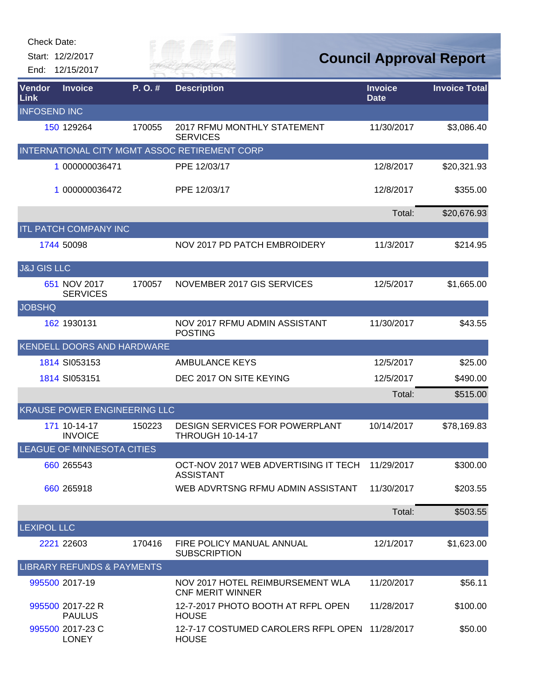| <b>Check Date:</b>     |                                       |        |                                                                  |                               |                                |
|------------------------|---------------------------------------|--------|------------------------------------------------------------------|-------------------------------|--------------------------------|
|                        | Start: 12/2/2017                      |        |                                                                  |                               | <b>Council Approval Report</b> |
| End:                   | 12/15/2017                            |        |                                                                  |                               |                                |
| Vendor<br>Link         | <b>Invoice</b>                        | P.O.#  | <b>Description</b>                                               | <b>Invoice</b><br><b>Date</b> | <b>Invoice Total</b>           |
| <b>INFOSEND INC</b>    |                                       |        |                                                                  |                               |                                |
|                        | 150 129264                            | 170055 | 2017 RFMU MONTHLY STATEMENT<br><b>SERVICES</b>                   | 11/30/2017                    | \$3,086.40                     |
|                        |                                       |        | INTERNATIONAL CITY MGMT ASSOC RETIREMENT CORP                    |                               |                                |
|                        | 1 000000036471                        |        | PPE 12/03/17                                                     | 12/8/2017                     | \$20,321.93                    |
|                        | 1 000000036472                        |        | PPE 12/03/17                                                     | 12/8/2017                     | \$355.00                       |
|                        |                                       |        |                                                                  | Total:                        | \$20,676.93                    |
|                        | <b>ITL PATCH COMPANY INC</b>          |        |                                                                  |                               |                                |
|                        | 1744 50098                            |        | NOV 2017 PD PATCH EMBROIDERY                                     | 11/3/2017                     | \$214.95                       |
| <b>J&amp;J GIS LLC</b> |                                       |        |                                                                  |                               |                                |
|                        | 651 NOV 2017<br><b>SERVICES</b>       | 170057 | NOVEMBER 2017 GIS SERVICES                                       | 12/5/2017                     | \$1,665.00                     |
| <b>JOBSHQ</b>          |                                       |        |                                                                  |                               |                                |
|                        | 162 1930131                           |        | NOV 2017 RFMU ADMIN ASSISTANT<br><b>POSTING</b>                  | 11/30/2017                    | \$43.55                        |
|                        | KENDELL DOORS AND HARDWARE            |        |                                                                  |                               |                                |
|                        | 1814 SI053153                         |        | <b>AMBULANCE KEYS</b>                                            | 12/5/2017                     | \$25.00                        |
|                        | 1814 SI053151                         |        | DEC 2017 ON SITE KEYING                                          | 12/5/2017                     | \$490.00                       |
|                        |                                       |        |                                                                  | Total:                        | \$515.00                       |
|                        | <b>KRAUSE POWER ENGINEERING LLC</b>   |        |                                                                  |                               |                                |
|                        | 171 10-14-17<br><b>INVOICE</b>        | 150223 | <b>DESIGN SERVICES FOR POWERPLANT</b><br><b>THROUGH 10-14-17</b> | 10/14/2017                    | \$78,169.83                    |
|                        | LEAGUE OF MINNESOTA CITIES            |        |                                                                  |                               |                                |
|                        | 660 265543                            |        | OCT-NOV 2017 WEB ADVERTISING IT TECH<br><b>ASSISTANT</b>         | 11/29/2017                    | \$300.00                       |
|                        | 660 265918                            |        | WEB ADVRTSNG RFMU ADMIN ASSISTANT                                | 11/30/2017                    | \$203.55                       |
|                        |                                       |        |                                                                  | Total:                        | \$503.55                       |
| <b>LEXIPOL LLC</b>     |                                       |        |                                                                  |                               |                                |
|                        | 2221 22603                            | 170416 | FIRE POLICY MANUAL ANNUAL<br><b>SUBSCRIPTION</b>                 | 12/1/2017                     | \$1,623.00                     |
|                        | <b>LIBRARY REFUNDS &amp; PAYMENTS</b> |        |                                                                  |                               |                                |
|                        | 995500 2017-19                        |        | NOV 2017 HOTEL REIMBURSEMENT WLA<br><b>CNF MERIT WINNER</b>      | 11/20/2017                    | \$56.11                        |
|                        | 995500 2017-22 R<br><b>PAULUS</b>     |        | 12-7-2017 PHOTO BOOTH AT RFPL OPEN<br><b>HOUSE</b>               | 11/28/2017                    | \$100.00                       |
|                        | 995500 2017-23 C<br><b>LONEY</b>      |        | 12-7-17 COSTUMED CAROLERS RFPL OPEN<br><b>HOUSE</b>              | 11/28/2017                    | \$50.00                        |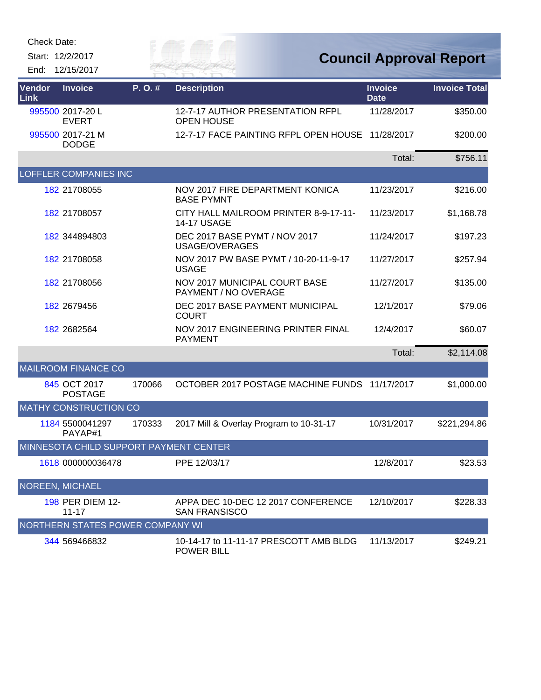Start: 12/2/2017 End: 12/15/2017



| Vendor<br>Link | <b>Invoice</b>                         | P.O.#  | <b>Description</b>                                           | <b>Invoice</b><br><b>Date</b> | <b>Invoice Total</b> |
|----------------|----------------------------------------|--------|--------------------------------------------------------------|-------------------------------|----------------------|
|                | 995500 2017-20 L<br><b>EVERT</b>       |        | 12-7-17 AUTHOR PRESENTATION RFPL<br><b>OPEN HOUSE</b>        | 11/28/2017                    | \$350.00             |
|                | 995500 2017-21 M<br><b>DODGE</b>       |        | 12-7-17 FACE PAINTING RFPL OPEN HOUSE                        | 11/28/2017                    | \$200.00             |
|                |                                        |        |                                                              | Total:                        | \$756.11             |
|                | <b>LOFFLER COMPANIES INC</b>           |        |                                                              |                               |                      |
|                | 182 21708055                           |        | NOV 2017 FIRE DEPARTMENT KONICA<br><b>BASE PYMNT</b>         | 11/23/2017                    | \$216.00             |
|                | 182 21708057                           |        | CITY HALL MAILROOM PRINTER 8-9-17-11-<br><b>14-17 USAGE</b>  | 11/23/2017                    | \$1,168.78           |
|                | 182 344894803                          |        | DEC 2017 BASE PYMT / NOV 2017<br>USAGE/OVERAGES              | 11/24/2017                    | \$197.23             |
|                | 182 21708058                           |        | NOV 2017 PW BASE PYMT / 10-20-11-9-17<br><b>USAGE</b>        | 11/27/2017                    | \$257.94             |
|                | 182 21708056                           |        | <b>NOV 2017 MUNICIPAL COURT BASE</b><br>PAYMENT / NO OVERAGE | 11/27/2017                    | \$135.00             |
|                | 182 2679456                            |        | DEC 2017 BASE PAYMENT MUNICIPAL<br><b>COURT</b>              | 12/1/2017                     | \$79.06              |
|                | 182 2682564                            |        | NOV 2017 ENGINEERING PRINTER FINAL<br><b>PAYMENT</b>         | 12/4/2017                     | \$60.07              |
|                |                                        |        |                                                              | Total:                        | \$2,114.08           |
|                | <b>MAILROOM FINANCE CO</b>             |        |                                                              |                               |                      |
|                | 845 OCT 2017<br><b>POSTAGE</b>         | 170066 | OCTOBER 2017 POSTAGE MACHINE FUNDS                           | 11/17/2017                    | \$1,000.00           |
|                | <b>MATHY CONSTRUCTION CO</b>           |        |                                                              |                               |                      |
|                | 1184 5500041297<br>PAYAP#1             | 170333 | 2017 Mill & Overlay Program to 10-31-17                      | 10/31/2017                    | \$221,294.86         |
|                | MINNESOTA CHILD SUPPORT PAYMENT CENTER |        |                                                              |                               |                      |
|                | 1618 000000036478                      |        | PPE 12/03/17                                                 | 12/8/2017                     | \$23.53              |
|                | NOREEN, MICHAEL                        |        |                                                              |                               |                      |
|                | 198 PER DIEM 12-<br>$11 - 17$          |        | APPA DEC 10-DEC 12 2017 CONFERENCE<br><b>SAN FRANSISCO</b>   | 12/10/2017                    | \$228.33             |
|                | NORTHERN STATES POWER COMPANY WI       |        |                                                              |                               |                      |
|                | 344 569466832                          |        | 10-14-17 to 11-11-17 PRESCOTT AMB BLDG<br><b>POWER BILL</b>  | 11/13/2017                    | \$249.21             |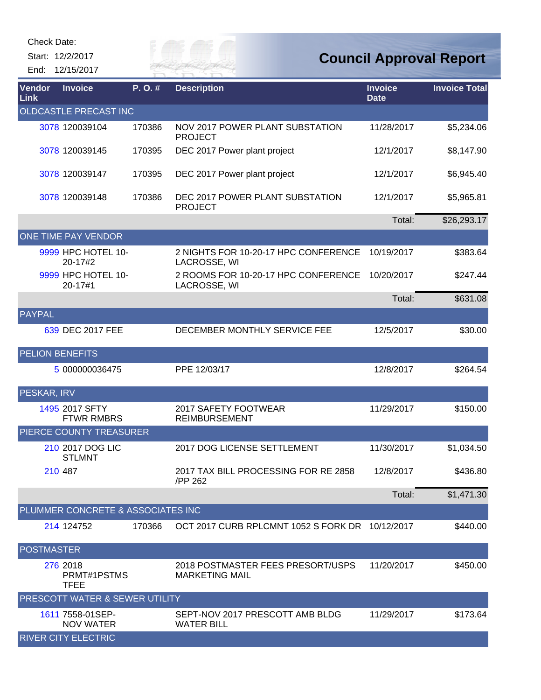Start: 12/2/2017 End: 12/15/2017 *Cuy of* 

| Vendor<br>Link         | <b>Invoice</b>                       | P.O.#  | <b>Description</b>                                         | <b>Invoice</b><br><b>Date</b> | <b>Invoice Total</b> |
|------------------------|--------------------------------------|--------|------------------------------------------------------------|-------------------------------|----------------------|
|                        | OLDCASTLE PRECAST INC                |        |                                                            |                               |                      |
|                        | 3078 120039104                       | 170386 | NOV 2017 POWER PLANT SUBSTATION<br><b>PROJECT</b>          | 11/28/2017                    | \$5,234.06           |
|                        | 3078 120039145                       | 170395 | DEC 2017 Power plant project                               | 12/1/2017                     | \$8,147.90           |
|                        | 3078 120039147                       | 170395 | DEC 2017 Power plant project                               | 12/1/2017                     | \$6,945.40           |
|                        | 3078 120039148                       | 170386 | DEC 2017 POWER PLANT SUBSTATION<br><b>PROJECT</b>          | 12/1/2017                     | \$5,965.81           |
|                        |                                      |        |                                                            | Total:                        | \$26,293.17          |
|                        | ONE TIME PAY VENDOR                  |        |                                                            |                               |                      |
|                        | 9999 HPC HOTEL 10-<br>20-17#2        |        | 2 NIGHTS FOR 10-20-17 HPC CONFERENCE<br>LACROSSE, WI       | 10/19/2017                    | \$383.64             |
|                        | 9999 HPC HOTEL 10-<br>20-17#1        |        | 2 ROOMS FOR 10-20-17 HPC CONFERENCE<br>LACROSSE, WI        | 10/20/2017                    | \$247.44             |
|                        |                                      |        |                                                            | Total:                        | \$631.08             |
| <b>PAYPAL</b>          |                                      |        |                                                            |                               |                      |
|                        | 639 DEC 2017 FEE                     |        | DECEMBER MONTHLY SERVICE FEE                               | 12/5/2017                     | \$30.00              |
| <b>PELION BENEFITS</b> |                                      |        |                                                            |                               |                      |
|                        | 5 000000036475                       |        | PPE 12/03/17                                               | 12/8/2017                     | \$264.54             |
| PESKAR, IRV            |                                      |        |                                                            |                               |                      |
|                        | 1495 2017 SFTY<br><b>FTWR RMBRS</b>  |        | 2017 SAFETY FOOTWEAR<br><b>REIMBURSEMENT</b>               | 11/29/2017                    | \$150.00             |
|                        | PIERCE COUNTY TREASURER              |        |                                                            |                               |                      |
|                        | 210 2017 DOG LIC<br><b>STLMNT</b>    |        | 2017 DOG LICENSE SETTLEMENT                                | 11/30/2017                    | \$1,034.50           |
|                        | 210 487                              |        | 2017 TAX BILL PROCESSING FOR RE 2858<br>/PP 262            | 12/8/2017                     | \$436.80             |
|                        |                                      |        |                                                            | Total:                        | \$1,471.30           |
|                        | PLUMMER CONCRETE & ASSOCIATES INC    |        |                                                            |                               |                      |
|                        | 214 124752                           | 170366 | OCT 2017 CURB RPLCMNT 1052 S FORK DR 10/12/2017            |                               | \$440.00             |
| <b>POSTMASTER</b>      |                                      |        |                                                            |                               |                      |
|                        | 276 2018<br>PRMT#1PSTMS<br>TFEE      |        | 2018 POSTMASTER FEES PRESORT/USPS<br><b>MARKETING MAIL</b> | 11/20/2017                    | \$450.00             |
|                        | PRESCOTT WATER & SEWER UTILITY       |        |                                                            |                               |                      |
|                        | 1611 7558-01SEP-<br><b>NOV WATER</b> |        | SEPT-NOV 2017 PRESCOTT AMB BLDG<br><b>WATER BILL</b>       | 11/29/2017                    | \$173.64             |
|                        | <b>RIVER CITY ELECTRIC</b>           |        |                                                            |                               |                      |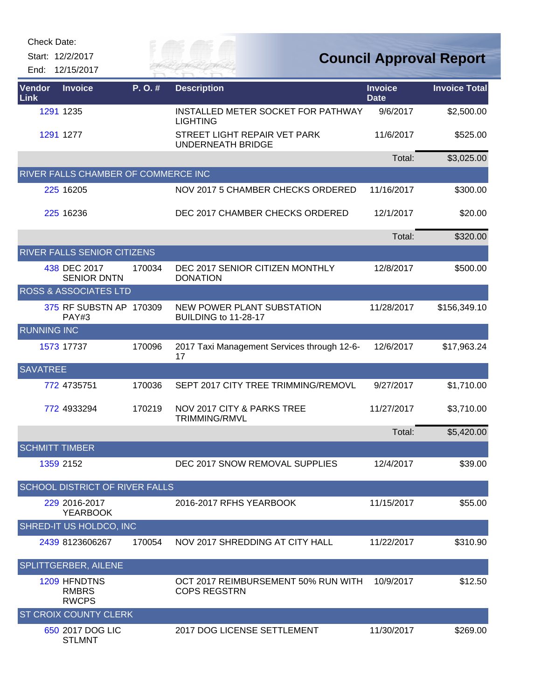| <b>Check Date:</b>                  |                                     |         |                                                            |                               |                                |
|-------------------------------------|-------------------------------------|---------|------------------------------------------------------------|-------------------------------|--------------------------------|
| Start: 12/2/2017<br>End: 12/15/2017 |                                     |         | ily of<br><b>ZER FAI</b>                                   |                               | <b>Council Approval Report</b> |
| Vendor<br><b>Link</b>               | <b>Invoice</b>                      | P. O. # | <b>Description</b>                                         | <b>Invoice</b><br><b>Date</b> | <b>Invoice Total</b>           |
| 1291 1235                           |                                     |         | INSTALLED METER SOCKET FOR PATHWAY<br><b>LIGHTING</b>      | 9/6/2017                      | \$2,500.00                     |
| 1291 1277                           |                                     |         | STREET LIGHT REPAIR VET PARK<br><b>UNDERNEATH BRIDGE</b>   | 11/6/2017                     | \$525.00                       |
|                                     |                                     |         |                                                            | Total:                        | \$3,025.00                     |
|                                     | RIVER FALLS CHAMBER OF COMMERCE INC |         |                                                            |                               |                                |
| 225 16205                           |                                     |         | NOV 2017 5 CHAMBER CHECKS ORDERED                          | 11/16/2017                    | \$300.00                       |
| 225 16236                           |                                     |         | DEC 2017 CHAMBER CHECKS ORDERED                            | 12/1/2017                     | \$20.00                        |
|                                     |                                     |         |                                                            | Total:                        | \$320.00                       |
|                                     | RIVER FALLS SENIOR CITIZENS         |         |                                                            |                               |                                |
| 438 DEC 2017                        | <b>SENIOR DNTN</b>                  | 170034  | DEC 2017 SENIOR CITIZEN MONTHLY<br><b>DONATION</b>         | 12/8/2017                     | \$500.00                       |
|                                     | ROSS & ASSOCIATES LTD               |         |                                                            |                               |                                |
|                                     | 375 RF SUBSTN AP 170309<br>PAY#3    |         | NEW POWER PLANT SUBSTATION<br>BUILDING to 11-28-17         | 11/28/2017                    | \$156,349.10                   |
| <b>RUNNING INC</b>                  |                                     |         |                                                            |                               |                                |
| 1573 17737                          |                                     | 170096  | 2017 Taxi Management Services through 12-6-<br>17          | 12/6/2017                     | \$17,963.24                    |
| <b>SAVATREE</b>                     |                                     |         |                                                            |                               |                                |
| 772 4735751                         |                                     | 170036  | SEPT 2017 CITY TREE TRIMMING/REMOVL                        | 9/27/2017                     | \$1,710.00                     |
| 772 4933294                         |                                     | 170219  | NOV 2017 CITY & PARKS TREE<br>TRIMMING/RMVL                | 11/27/2017                    | \$3,710.00                     |
|                                     |                                     |         |                                                            | Total:                        | \$5,420.00                     |
| <b>SCHMITT TIMBER</b>               |                                     |         |                                                            |                               |                                |
| 1359 2152                           |                                     |         | DEC 2017 SNOW REMOVAL SUPPLIES                             | 12/4/2017                     | \$39.00                        |
|                                     | SCHOOL DISTRICT OF RIVER FALLS      |         |                                                            |                               |                                |
|                                     | 229 2016-2017<br><b>YEARBOOK</b>    |         | 2016-2017 RFHS YEARBOOK                                    | 11/15/2017                    | \$55.00                        |
|                                     | SHRED-IT US HOLDCO, INC             |         |                                                            |                               |                                |
|                                     | 2439 8123606267                     | 170054  | NOV 2017 SHREDDING AT CITY HALL                            | 11/22/2017                    | \$310.90                       |
| SPLITTGERBER, AILENE                |                                     |         |                                                            |                               |                                |
| 1209 HFNDTNS                        | <b>RMBRS</b><br><b>RWCPS</b>        |         | OCT 2017 REIMBURSEMENT 50% RUN WITH<br><b>COPS REGSTRN</b> | 10/9/2017                     | \$12.50                        |
|                                     | ST CROIX COUNTY CLERK               |         |                                                            |                               |                                |
|                                     | 650 2017 DOG LIC<br><b>STLMNT</b>   |         | 2017 DOG LICENSE SETTLEMENT                                | 11/30/2017                    | \$269.00                       |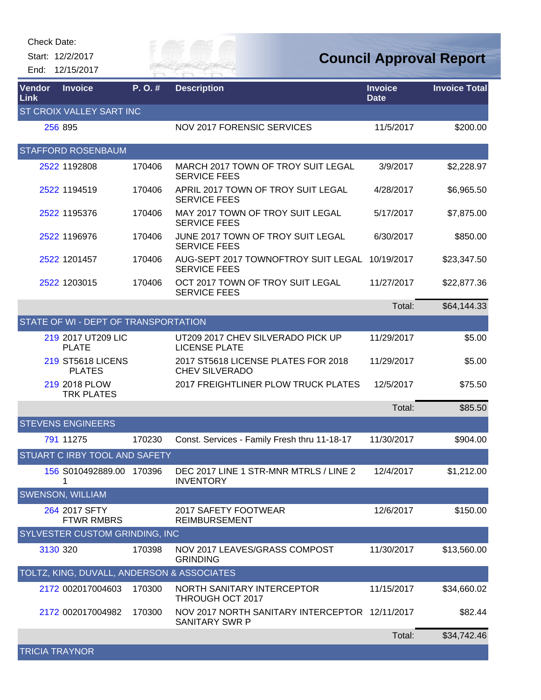Start: 12/2/2017

End: 12/15/2017

Gity of

**Council Approval Report**

| Vendor<br>Link        | <b>Invoice</b>                             | $P. O.$ # | <b>Description</b>                                                      | <b>Invoice</b><br><b>Date</b> | <b>Invoice Total</b> |
|-----------------------|--------------------------------------------|-----------|-------------------------------------------------------------------------|-------------------------------|----------------------|
|                       | <b>ST CROIX VALLEY SART INC</b>            |           |                                                                         |                               |                      |
|                       | 256 895                                    |           | <b>NOV 2017 FORENSIC SERVICES</b>                                       | 11/5/2017                     | \$200.00             |
|                       | <b>STAFFORD ROSENBAUM</b>                  |           |                                                                         |                               |                      |
|                       | 2522 1192808                               | 170406    | MARCH 2017 TOWN OF TROY SUIT LEGAL<br><b>SERVICE FEES</b>               | 3/9/2017                      | \$2,228.97           |
|                       | 2522 1194519                               | 170406    | APRIL 2017 TOWN OF TROY SUIT LEGAL<br><b>SERVICE FEES</b>               | 4/28/2017                     | \$6,965.50           |
|                       | 2522 1195376                               | 170406    | MAY 2017 TOWN OF TROY SUIT LEGAL<br><b>SERVICE FEES</b>                 | 5/17/2017                     | \$7,875.00           |
|                       | 2522 1196976                               | 170406    | JUNE 2017 TOWN OF TROY SUIT LEGAL<br><b>SERVICE FEES</b>                | 6/30/2017                     | \$850.00             |
|                       | 2522 1201457                               | 170406    | AUG-SEPT 2017 TOWNOFTROY SUIT LEGAL 10/19/2017<br><b>SERVICE FEES</b>   |                               | \$23,347.50          |
|                       | 2522 1203015                               | 170406    | OCT 2017 TOWN OF TROY SUIT LEGAL<br><b>SERVICE FEES</b>                 | 11/27/2017                    | \$22,877.36          |
|                       |                                            |           |                                                                         | Total:                        | \$64,144.33          |
|                       | STATE OF WI - DEPT OF TRANSPORTATION       |           |                                                                         |                               |                      |
|                       | 219 2017 UT209 LIC<br><b>PLATE</b>         |           | UT209 2017 CHEV SILVERADO PICK UP<br><b>LICENSE PLATE</b>               | 11/29/2017                    | \$5.00               |
|                       | <b>219 ST5618 LICENS</b><br><b>PLATES</b>  |           | 2017 ST5618 LICENSE PLATES FOR 2018<br><b>CHEV SILVERADO</b>            | 11/29/2017                    | \$5.00               |
|                       | 219 2018 PLOW<br><b>TRK PLATES</b>         |           | 2017 FREIGHTLINER PLOW TRUCK PLATES                                     | 12/5/2017                     | \$75.50              |
|                       |                                            |           |                                                                         | Total:                        | \$85.50              |
|                       | <b>STEVENS ENGINEERS</b>                   |           |                                                                         |                               |                      |
|                       | 791 11275                                  | 170230    | Const. Services - Family Fresh thru 11-18-17                            | 11/30/2017                    | \$904.00             |
|                       | <b>STUART C IRBY TOOL AND SAFETY</b>       |           |                                                                         |                               |                      |
|                       | 156 S010492889.00 170396<br>1              |           | DEC 2017 LINE 1 STR-MNR MTRLS / LINE 2<br><b>INVENTORY</b>              | 12/4/2017                     | \$1,212.00           |
|                       | <b>SWENSON, WILLIAM</b>                    |           |                                                                         |                               |                      |
|                       | 264 2017 SFTY<br><b>FTWR RMBRS</b>         |           | 2017 SAFETY FOOTWEAR<br><b>REIMBURSEMENT</b>                            | 12/6/2017                     | \$150.00             |
|                       | <b>SYLVESTER CUSTOM GRINDING, INC</b>      |           |                                                                         |                               |                      |
|                       | 3130 320                                   | 170398    | NOV 2017 LEAVES/GRASS COMPOST<br><b>GRINDING</b>                        | 11/30/2017                    | \$13,560.00          |
|                       | TOLTZ, KING, DUVALL, ANDERSON & ASSOCIATES |           |                                                                         |                               |                      |
|                       | 2172 002017004603                          | 170300    | NORTH SANITARY INTERCEPTOR<br>THROUGH OCT 2017                          | 11/15/2017                    | \$34,660.02          |
|                       | 2172 002017004982                          | 170300    | NOV 2017 NORTH SANITARY INTERCEPTOR 12/11/2017<br><b>SANITARY SWR P</b> |                               | \$82.44              |
|                       |                                            |           |                                                                         | Total:                        | \$34,742.46          |
| <b>TRICIA TRAYNOR</b> |                                            |           |                                                                         |                               |                      |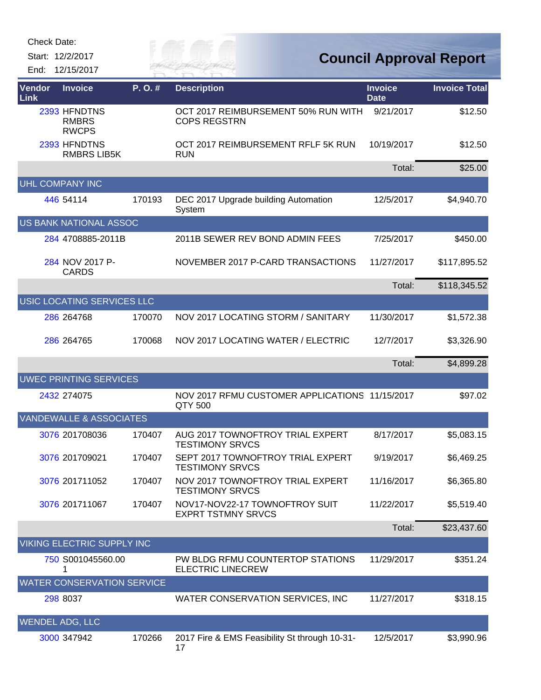Start: 12/2/2017

*City of* End: 12/15/2017

| Vendor<br>Link         | <b>Invoice</b>                               | P.O.#  | <b>Description</b>                                           | <b>Invoice</b><br><b>Date</b> | <b>Invoice Total</b> |
|------------------------|----------------------------------------------|--------|--------------------------------------------------------------|-------------------------------|----------------------|
|                        | 2393 HFNDTNS<br><b>RMBRS</b><br><b>RWCPS</b> |        | OCT 2017 REIMBURSEMENT 50% RUN WITH<br><b>COPS REGSTRN</b>   | 9/21/2017                     | \$12.50              |
|                        | 2393 HFNDTNS<br><b>RMBRS LIB5K</b>           |        | OCT 2017 REIMBURSEMENT RFLF 5K RUN<br><b>RUN</b>             | 10/19/2017                    | \$12.50              |
|                        |                                              |        |                                                              | Total:                        | \$25.00              |
|                        | <b>UHL COMPANY INC</b>                       |        |                                                              |                               |                      |
|                        | 446 54114                                    | 170193 | DEC 2017 Upgrade building Automation<br>System               | 12/5/2017                     | \$4,940.70           |
|                        | US BANK NATIONAL ASSOC                       |        |                                                              |                               |                      |
|                        | 284 4708885-2011B                            |        | 2011B SEWER REV BOND ADMIN FEES                              | 7/25/2017                     | \$450.00             |
|                        | 284 NOV 2017 P-<br><b>CARDS</b>              |        | NOVEMBER 2017 P-CARD TRANSACTIONS                            | 11/27/2017                    | \$117,895.52         |
|                        |                                              |        |                                                              | Total:                        | \$118,345.52         |
|                        | USIC LOCATING SERVICES LLC                   |        |                                                              |                               |                      |
|                        | 286 264768                                   | 170070 | NOV 2017 LOCATING STORM / SANITARY                           | 11/30/2017                    | \$1,572.38           |
|                        | 286 264765                                   | 170068 | NOV 2017 LOCATING WATER / ELECTRIC                           | 12/7/2017                     | \$3,326.90           |
|                        |                                              |        |                                                              | Total:                        | \$4,899.28           |
|                        | <b>UWEC PRINTING SERVICES</b>                |        |                                                              |                               |                      |
|                        | 2432 274075                                  |        | NOV 2017 RFMU CUSTOMER APPLICATIONS 11/15/2017<br>QTY 500    |                               | \$97.02              |
|                        | <b>VANDEWALLE &amp; ASSOCIATES</b>           |        |                                                              |                               |                      |
|                        | 3076 201708036                               | 170407 | AUG 2017 TOWNOFTROY TRIAL EXPERT<br><b>TESTIMONY SRVCS</b>   | 8/17/2017                     | \$5,083.15           |
|                        | 3076 201709021                               | 170407 | SEPT 2017 TOWNOFTROY TRIAL EXPERT<br><b>TESTIMONY SRVCS</b>  | 9/19/2017                     | \$6,469.25           |
|                        | 3076 201711052                               | 170407 | NOV 2017 TOWNOFTROY TRIAL EXPERT<br><b>TESTIMONY SRVCS</b>   | 11/16/2017                    | \$6,365.80           |
|                        | 3076 201711067                               | 170407 | NOV17-NOV22-17 TOWNOFTROY SUIT<br><b>EXPRT TSTMNY SRVCS</b>  | 11/22/2017                    | \$5,519.40           |
|                        |                                              |        |                                                              | Total:                        | \$23,437.60          |
|                        | <b>VIKING ELECTRIC SUPPLY INC</b>            |        |                                                              |                               |                      |
|                        | 750 S001045560.00<br>1                       |        | PW BLDG RFMU COUNTERTOP STATIONS<br><b>ELECTRIC LINECREW</b> | 11/29/2017                    | \$351.24             |
|                        | <b>WATER CONSERVATION SERVICE</b>            |        |                                                              |                               |                      |
|                        | 298 8037                                     |        | WATER CONSERVATION SERVICES, INC                             | 11/27/2017                    | \$318.15             |
| <b>WENDEL ADG, LLC</b> |                                              |        |                                                              |                               |                      |
|                        | 3000 347942                                  | 170266 | 2017 Fire & EMS Feasibility St through 10-31-<br>17          | 12/5/2017                     | \$3,990.96           |